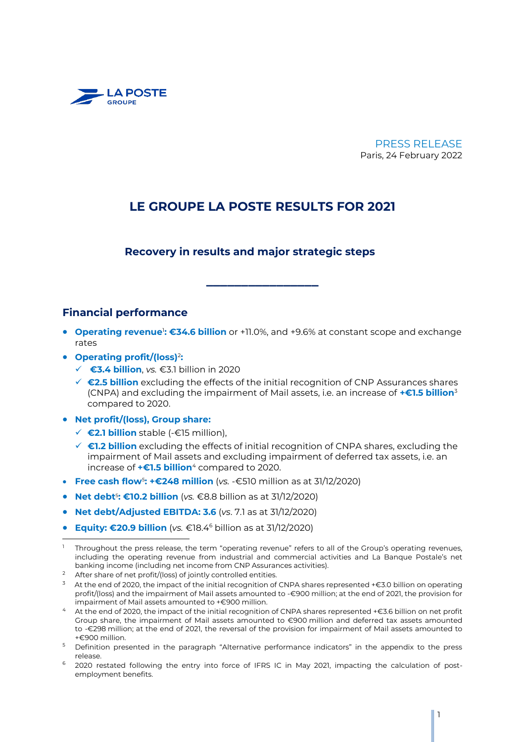

### PRESS RELEASE Paris, 24 February 2022

# **LE GROUPE LA POSTE RESULTS FOR 2021**

### **Recovery in results and major strategic steps**

### **Financial performance**

**• Operating revenue<sup>1</sup>: €34.6 billion** or +11.0%, and +9.6% at constant scope and exchange rates

**\_\_\_\_\_\_\_\_\_\_\_\_\_\_\_\_**

- **Operating profit/(loss)**<sup>2</sup> **:**
	- **€3.4 billion**, *vs.* €3.1 billion in 2020
	- **€2.5 billion** excluding the effects of the initial recognition of CNP Assurances shares (CNPA) and excluding the impairment of Mail assets, i.e. an increase of **+€1.5 billion**<sup>3</sup> compared to 2020.
- **Net profit/(loss), Group share:**
	- **€2.1 billion** stable (-€15 million),
	- **€1.2 billion** excluding the effects of initial recognition of CNPA shares, excluding the impairment of Mail assets and excluding impairment of deferred tax assets, i.e. an increase of **+€1.5 billion**<sup>4</sup> compared to 2020.
- **Free cash flow**<sup>5</sup> **: +€248 million** (*vs.* -€510 million as at 31/12/2020)
- **Net debt<sup>5</sup>: €10.2 billion** (vs. €8.8 billion as at 31/12/2020)
- **Net debt/Adjusted EBITDA: 3.6** (*vs*. 7.1 as at 31/12/2020)
- **Equity: €20.9 billion** (*vs.* €18.4<sup>6</sup> billion as at 31/12/2020)

- After share of net profit/(loss) of jointly controlled entities.
- $^3$  At the end of 2020, the impact of the initial recognition of CNPA shares represented +€3.0 billion on operating profit/(loss) and the impairment of Mail assets amounted to -€900 million; at the end of 2021, the provision for impairment of Mail assets amounted to +€900 million.
- <sup>4</sup> At the end of 2020, the impact of the initial recognition of CNPA shares represented +€3.6 billion on net profit Group share, the impairment of Mail assets amounted to €900 million and deferred tax assets amounted to -€298 million; at the end of 2021, the reversal of the provision for impairment of Mail assets amounted to +€900 million.
- <sup>5</sup> Definition presented in the paragraph "Alternative performance indicators" in the appendix to the press release.
- <sup>6</sup> 2020 restated following the entry into force of IFRS IC in May 2021, impacting the calculation of postemployment benefits.

j <sup>1</sup> Throughout the press release, the term "operating revenue" refers to all of the Group's operating revenues, including the operating revenue from industrial and commercial activities and La Banque Postale's net banking income (including net income from CNP Assurances activities).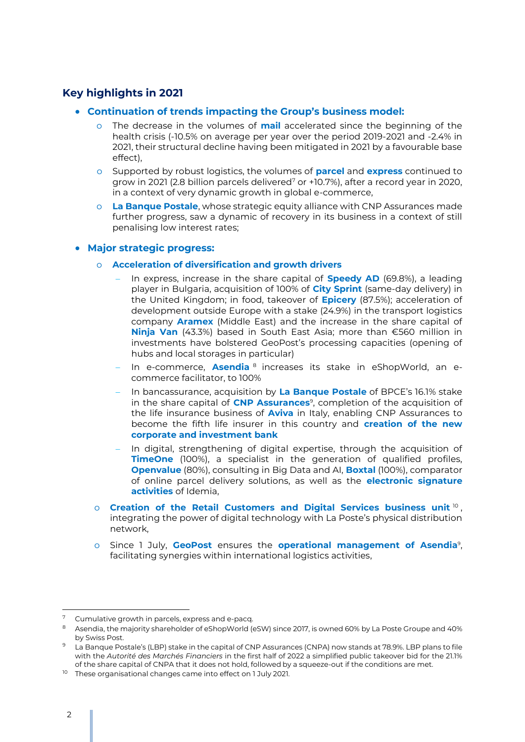# **Key highlights in 2021**

- **Continuation of trends impacting the Group's business model:**
	- o The decrease in the volumes of **mail** accelerated since the beginning of the health crisis (-10.5% on average per year over the period 2019-2021 and -2.4% in 2021, their structural decline having been mitigated in 2021 by a favourable base effect),
	- o Supported by robust logistics, the volumes of **parcel** and **express** continued to grow in 2021 (2.8 billion parcels delivered<sup>7</sup> or  $+10.7\%$ ), after a record year in 2020, in a context of very dynamic growth in global e-commerce,
	- o **La Banque Postale**, whose strategic equity alliance with CNP Assurances made further progress, saw a dynamic of recovery in its business in a context of still penalising low interest rates;

### **Major strategic progress:**

- o **Acceleration of diversification and growth drivers**
	- In express, increase in the share capital of **Speedy AD** (69.8%), a leading player in Bulgaria, acquisition of 100% of **City Sprint** (same-day delivery) in the United Kingdom; in food, takeover of **Epicery** (87.5%); acceleration of development outside Europe with a stake (24.9%) in the transport logistics company **Aramex** (Middle East) and the increase in the share capital of **Ninja Van** (43.3%) based in South East Asia; more than €560 million in investments have bolstered GeoPost's processing capacities (opening of hubs and local storages in particular)
	- In e-commerce, **Asendia** <sup>8</sup> increases its stake in eShopWorld, an ecommerce facilitator, to 100%
	- In bancassurance, acquisition by **La Banque Postale** of BPCE's 16.1% stake in the share capital of **CNP Assurances**<sup>9</sup> , completion of the acquisition of the life insurance business of **Aviva** in Italy, enabling CNP Assurances to become the fifth life insurer in this country and **creation of the new corporate and investment bank**
	- In digital, strengthening of digital expertise, through the acquisition of **TimeOne** (100%), a specialist in the generation of qualified profiles, **Openvalue** (80%), consulting in Big Data and AI, **Boxtal** (100%), comparator of online parcel delivery solutions, as well as the **electronic signature activities** of Idemia,
- <span id="page-1-0"></span> $\circ$  Creation of the Retail Customers and Digital Services business unit  $^{10}$  , integrating the power of digital technology with La Poste's physical distribution network,
- o Since 1 July, **GeoPost** ensures the **operational management of Asendia**<sup>9</sup> [,](#page-1-0)  facilitating synergies within international logistics activities,

<sup>7</sup> Cumulative growth in parcels, express and e-pacq.

<sup>8</sup> Asendia, the majority shareholder of eShopWorld (eSW) since 2017, is owned 60% by La Poste Groupe and 40% by Swiss Post.

La Banque Postale's (LBP) stake in the capital of CNP Assurances (CNPA) now stands at 78.9%. LBP plans to file with the *Autorité des Marchés Financiers* in the first half of 2022 a simplified public takeover bid for the 21.1% of the share capital of CNPA that it does not hold, followed by a squeeze-out if the conditions are met.

<sup>&</sup>lt;sup>10</sup> These organisational changes came into effect on 1 July 2021.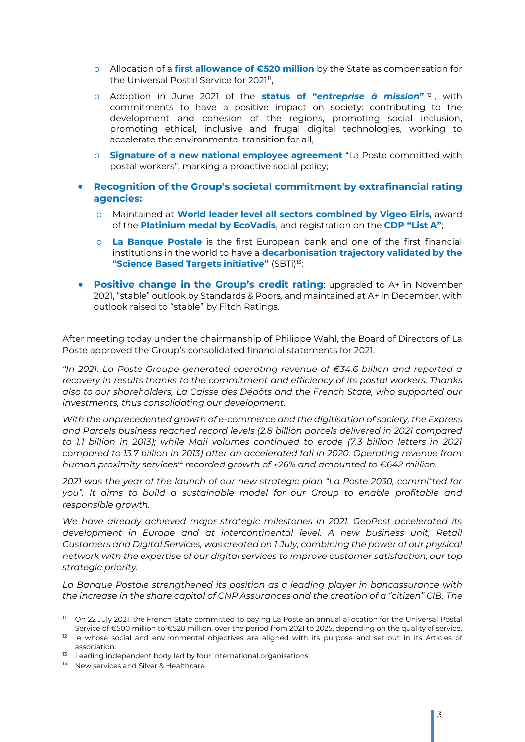- o Allocation of a **first allowance of €520 million** by the State as compensation for the Universal Postal Service for 2021",
- o Adoption in June 2021 of the **status of "***entreprise à mission***"** 12 , with commitments to have a positive impact on society: contributing to the development and cohesion of the regions, promoting social inclusion, promoting ethical, inclusive and frugal digital technologies, working to accelerate the environmental transition for all,
- o **Signature of a new national employee agreement** "La Poste committed with postal workers", marking a proactive social policy;
- **Recognition of the Group's societal commitment by extrafinancial rating agencies:**
	- o Maintained at **World leader level all sectors combined by Vigeo Eiris,** award of the **Platinium medal by EcoVadis**, and registration on the **CDP "List A"**;
	- o **La Banque Postale** is the first European bank and one of the first financial institutions in the world to have a **decarbonisation trajectory validated by the "Science Based Targets initiative"** (SBTi)<sup>13</sup>;
- **Positive change in the Group's credit rating**: upgraded to A+ in November 2021, "stable" outlook by Standards & Poors, and maintained at A+ in December, with outlook raised to "stable" by Fitch Ratings.

After meeting today under the chairmanship of Philippe Wahl, the Board of Directors of La Poste approved the Group's consolidated financial statements for 2021.

*"In 2021, La Poste Groupe generated operating revenue of €34.6 billion and reported a recovery in results thanks to the commitment and efficiency of its postal workers. Thanks also to our shareholders, La Caisse des Dépôts and the French State, who supported our investments, thus consolidating our development.*

*With the unprecedented growth of e-commerce and the digitisation of society, the Express and Parcels business reached record levels (2.8 billion parcels delivered in 2021 compared*  to 1.1 billion in 2013); while Mail volumes continued to erode (7.3 billion letters in 2021 *compared to 13.7 billion in 2013) after an accelerated fall in 2020. Operating revenue from human proximity services<sup>14</sup> recorded growth of +26% and amounted to €642 million.*

*2021 was the year of the launch of our new strategic plan "La Poste 2030, committed for you". It aims to build a sustainable model for our Group to enable profitable and responsible growth.*

*We have already achieved major strategic milestones in 2021. GeoPost accelerated its development in Europe and at intercontinental level. A new business unit, Retail Customers and Digital Services, was created on 1 July, combining the power of our physical network with the expertise of our digital services to improve customer satisfaction, our top strategic priority.*

*La Banque Postale strengthened its position as a leading player in bancassurance with the increase in the share capital of CNP Assurances and the creation of a "citizen" CIB. The* 

<sup>&</sup>lt;sup>11</sup> On 22 July 2021, the French State committed to paying La Poste an annual allocation for the Universal Postal Service of €500 million to €520 million, over the period from 2021 to 2025, depending on the quality of service.

<sup>&</sup>lt;sup>12</sup> ie whose social and environmental objectives are aligned with its purpose and set out in its Articles of association.

<sup>&</sup>lt;sup>13</sup> Leading independent body led by four international organisations.

<sup>&</sup>lt;sup>14</sup> New services and Silver & Healthcare.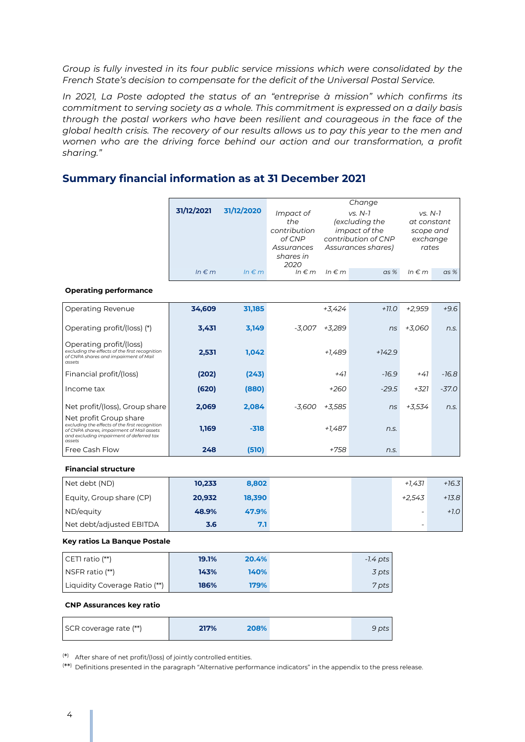*Group is fully invested in its four public service missions which were consolidated by the French State's decision to compensate for the deficit of the Universal Postal Service.*

*In 2021, La Poste adopted the status of an "entreprise à mission" which confirms its commitment to serving society as a whole. This commitment is expressed on a daily basis through the postal workers who have been resilient and courageous in the face of the global health crisis. The recovery of our results allows us to pay this year to the men and women who are the driving force behind our action and our transformation, a profit sharing."*

## **Summary financial information as at 31 December 2021**

|                                                                                                                                                                             |            |                     | Change                                                   |            |                                                                                           |                                                            |         |
|-----------------------------------------------------------------------------------------------------------------------------------------------------------------------------|------------|---------------------|----------------------------------------------------------|------------|-------------------------------------------------------------------------------------------|------------------------------------------------------------|---------|
|                                                                                                                                                                             | 31/12/2021 | 31/12/2020          | Impact of<br>the<br>contribution<br>of CNP<br>Assurances |            | $VS. N-7$<br>(excluding the<br>impact of the<br>contribution of CNP<br>Assurances shares) | $VS. N-7$<br>at constant<br>scope and<br>exchange<br>rates |         |
|                                                                                                                                                                             |            |                     | shares in<br>2020                                        |            |                                                                                           |                                                            |         |
|                                                                                                                                                                             | $ln \in m$ | $In \in \mathbb{m}$ | $ln \in m$                                               | $ln \in m$ | $as\%$                                                                                    | $ln \in m$                                                 | as %    |
| <b>Operating performance</b>                                                                                                                                                |            |                     |                                                          |            |                                                                                           |                                                            |         |
| Operating Revenue                                                                                                                                                           | 34,609     | 31,185              |                                                          | +3,424     | $+11.0$                                                                                   | $+2,959$                                                   | $+9.6$  |
| Operating profit/(loss) (*)                                                                                                                                                 | 3,431      | 3,149               | -3,007                                                   | +3,289     | ns                                                                                        | +3,060                                                     | n.s.    |
| Operating profit/(loss)<br>excluding the effects of the first recognition<br>of CNPA shares and impairment of Mail<br>assets                                                | 2,531      | 1,042               |                                                          | $+1,489$   | $+142.9$                                                                                  |                                                            |         |
| Financial profit/(loss)                                                                                                                                                     | (202)      | (243)               |                                                          | $+41$      | $-16.9$                                                                                   | $+41$                                                      | -16.8   |
| Income tax                                                                                                                                                                  | (620)      | (880)               |                                                          | $+260$     | $-29.5$                                                                                   | +321                                                       | $-37.0$ |
| Net profit/(loss), Group share                                                                                                                                              | 2,069      | 2,084               | $-3.600$                                                 | +3,585     | ns                                                                                        | +3.534                                                     | n.s.    |
| Net profit Group share<br>excluding the effects of the first recognition<br>of CNPA shares, impairment of Mail assets<br>and excluding impairment of deferred tax<br>assets | 1,169      | $-318$              |                                                          | +1,487     | n.s.                                                                                      |                                                            |         |
| Free Cash Flow                                                                                                                                                              | 248        | (510)               |                                                          | $+758$     | n.s.                                                                                      |                                                            |         |
| <b>Financial structure</b>                                                                                                                                                  |            |                     |                                                          |            |                                                                                           |                                                            |         |
| Net debt (ND)                                                                                                                                                               | 10,233     | 8,802               |                                                          |            |                                                                                           | $+1,431$                                                   | $+16.3$ |
| Equity, Group share (CP)                                                                                                                                                    | 20,932     | 18,390              |                                                          |            |                                                                                           | $+2,543$                                                   | $+13.8$ |
| ND/equity                                                                                                                                                                   | 48.9%      | 47.9%               |                                                          |            |                                                                                           | $\overline{\phantom{a}}$                                   | $+1.0$  |
| Net debt/adjusted EBITDA                                                                                                                                                    | 3.6        | 7.1                 |                                                          |            |                                                                                           | $\overline{a}$                                             |         |
| Key ratios La Banque Postale                                                                                                                                                |            |                     |                                                          |            |                                                                                           |                                                            |         |
| CETI ratio (**)                                                                                                                                                             | 19.1%      | 20.4%               |                                                          |            | $-1.4$ pts                                                                                |                                                            |         |
| NSFR ratio (**)                                                                                                                                                             | 143%       | 140%                |                                                          |            | 3 pts                                                                                     |                                                            |         |
| Liquidity Coverage Ratio (**)                                                                                                                                               | 186%       | 179%                |                                                          |            | 7 pts                                                                                     |                                                            |         |
| <b>CNP Assurances key ratio</b>                                                                                                                                             |            |                     |                                                          |            |                                                                                           |                                                            |         |
| SCR coverage rate (**)                                                                                                                                                      | 217%       | 208%                |                                                          |            | 9 pts                                                                                     |                                                            |         |

( \* ) After share of net profit/(loss) of jointly controlled entities.

( \*\* ) Definitions presented in the paragraph "Alternative performance indicators" in the appendix to the press release.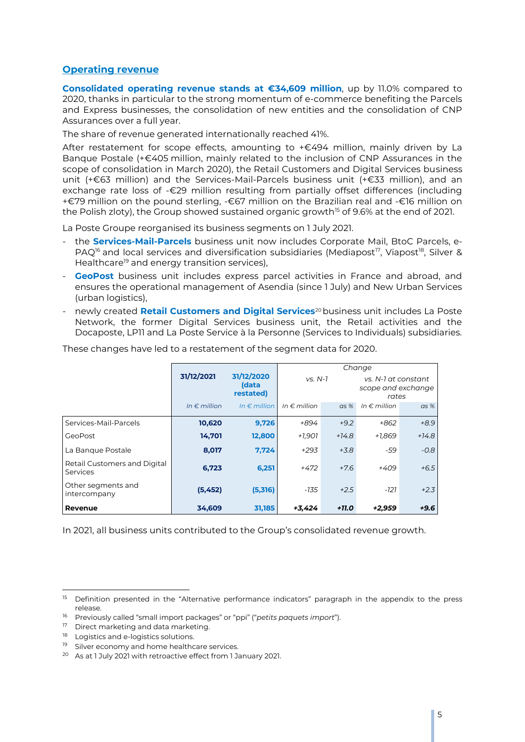### **Operating revenue**

**Consolidated operating revenue stands at €34,609 million**, up by 11.0% compared to 2020, thanks in particular to the strong momentum of e-commerce benefiting the Parcels and Express businesses, the consolidation of new entities and the consolidation of CNP Assurances over a full year.

The share of revenue generated internationally reached 41%.

After restatement for scope effects, amounting to +€494 million, mainly driven by La Banque Postale (+€405 million, mainly related to the inclusion of CNP Assurances in the scope of consolidation in March 2020), the Retail Customers and Digital Services business unit (+€63 million) and the Services-Mail-Parcels business unit (+€33 million), and an exchange rate loss of -€29 million resulting from partially offset differences (including +€79 million on the pound sterling, -€67 million on the Brazilian real and -€16 million on the Polish zloty), the Group showed sustained organic growth<sup>15</sup> of 9.6% at the end of 2021.

La Poste Groupe reorganised its business segments on 1 July 2021.

- the **Services-Mail-Parcels** business unit now includes Corporate Mail, BtoC Parcels, e-PAQ<sup>16</sup> and local services and diversification subsidiaries (Mediapost<sup>17</sup>, Viapost<sup>18</sup>, Silver & Healthcare<sup>19</sup> and energy transition services),
- **GeoPost** business unit includes express parcel activities in France and abroad, and ensures the operational management of Asendia (since 1 July) and New Urban Services (urban logistics),
- newly created **Retail Customers and Digital Services**<sup>20</sup> business unit includes La Poste Network, the former Digital Services business unit, the Retail activities and the Docaposte, LP11 and La Poste Service à la Personne (Services to Individuals) subsidiaries.

|                                          |                       |                                  | Change                |         |                                                    |         |  |
|------------------------------------------|-----------------------|----------------------------------|-----------------------|---------|----------------------------------------------------|---------|--|
|                                          | 31/12/2021            | 31/12/2020<br>(data<br>restated) | $VS. N-7$             |         | vs. N-1 at constant<br>scope and exchange<br>rates |         |  |
|                                          | In $\epsilon$ million | In $\epsilon$ million            | In $\epsilon$ million | $as\%$  | In $\epsilon$ million                              | $as\%$  |  |
| Services-Mail-Parcels                    | 10,620                | 9,726                            | +894                  | $+9.2$  | +862                                               | $+8.9$  |  |
| GeoPost                                  | 14,701                | 12,800                           | $+1.901$              | $+14.8$ | +1.869                                             | $+14.8$ |  |
| La Bangue Postale                        | 8,017                 | 7,724                            | $+293$                | $+3.8$  | -59                                                | $-0.8$  |  |
| Retail Customers and Digital<br>Services | 6,723                 | 6,251                            | $+472$                | $+7.6$  | $+409$                                             | $+6.5$  |  |
| Other segments and<br>intercompany       | (5,452)               | (5,316)                          | -135                  | $+2.5$  | $-121$                                             | $+2.3$  |  |
| Revenue                                  | 34,609                | 31,185                           | +3,424                | $+11.0$ | +2,959                                             | $+9.6$  |  |

These changes have led to a restatement of the segment data for 2020.

In 2021, all business units contributed to the Group's consolidated revenue growth.

<sup>&</sup>lt;sup>15</sup> Definition presented in the "Alternative performance indicators" paragraph in the appendix to the press release.

<sup>16</sup> Previously called "small import packages" or "ppi" ("*petits paquets import*").

<sup>&</sup>lt;sup>17</sup> Direct marketing and data marketing.

<sup>&</sup>lt;sup>18</sup> Logistics and e-logistics solutions.

<sup>&</sup>lt;sup>19</sup> Silver economy and home healthcare services.

<sup>&</sup>lt;sup>20</sup> As at 1 July 2021 with retroactive effect from 1 January 2021.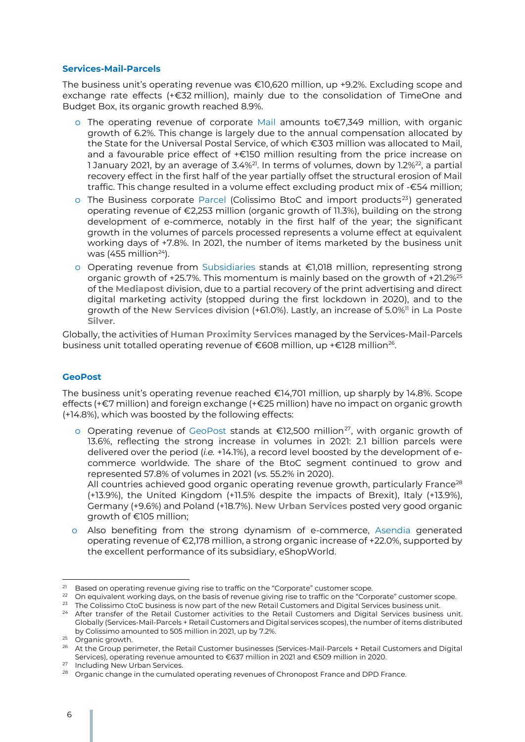#### **Services-Mail-Parcels**

The business unit's operating revenue was €10,620 million, up +9.2%. Excluding scope and exchange rate effects (+€32 million), mainly due to the consolidation of TimeOne and Budget Box, its organic growth reached 8.9%.

- o The operating revenue of corporate Mail amounts to€7,349 million, with organic growth of 6.2%. This change is largely due to the annual compensation allocated by the State for the Universal Postal Service, of which €303 million was allocated to Mail, and a favourable price effect of +€150 million resulting from the price increase on 1 January 2021, by an average of  $3.4\%$ <sup>21</sup>. In terms of volumes, down by 1.2%<sup>22</sup>, a partial recovery effect in the first half of the year partially offset the structural erosion of Mail traffic. This change resulted in a volume effect excluding product mix of -€54 million;
- $\circ$  The Business corporate Parcel (Colissimo BtoC and import products<sup>23</sup>) generated operating revenue of €2,253 million (organic growth of 11.3%), building on the strong development of e-commerce, notably in the first half of the year; the significant growth in the volumes of parcels processed represents a volume effect at equivalent working days of +7.8%. In 2021, the number of items marketed by the business unit was (455 million $24$ ).
- o Operating revenue from Subsidiaries stands at €1,018 million, representing strong organic growth of  $+25.7\%$ . This momentum is mainly based on the growth of  $+21.2\%$ <sup>25</sup> of the **Mediapost** division, due to a partial recovery of the print advertising and direct digital marketing activity (stopped during the first lockdown in 2020), and to the growth of the New Services division (+61.0%). Lastly, an increase of 5.0%<sup>11</sup> in La Poste **Silver**.

Globally, the activities of **Human Proximity Services** managed by the Services-Mail-Parcels business unit totalled operating revenue of €608 million, up +€128 million $^{26}$ .

#### **GeoPost**

The business unit's operating revenue reached €14,701 million, up sharply by 14.8%. Scope effects (+€7 million) and foreign exchange (+€25 million) have no impact on organic growth (+14.8%), which was boosted by the following effects:

o Operating revenue of GeoPost stands at €12,500 million<sup>27</sup>, with organic growth of 13.6%, reflecting the strong increase in volumes in 2021: 2.1 billion parcels were delivered over the period (*i.e.* +14.1%), a record level boosted by the development of ecommerce worldwide. The share of the BtoC segment continued to grow and represented 57.8% of volumes in 2021 (*vs.* 55.2% in 2020).

All countries achieved good organic operating revenue growth, particularly France<sup>28</sup> (+13.9%), the United Kingdom (+11.5% despite the impacts of Brexit), Italy (+13.9%), Germany (+9.6%) and Poland (+18.7%). **New Urban Services** posted very good organic growth of €105 million;

o Also benefiting from the strong dynamism of e-commerce, Asendia generated operating revenue of €2,178 million, a strong organic increase of +22.0%, supported by the excellent performance of its subsidiary, eShopWorld.

 $^{21}$  Based on operating revenue giving rise to traffic on the "Corporate" customer scope.

<sup>&</sup>lt;sup>22</sup> On equivalent working days, on the basis of revenue giving rise to traffic on the "Corporate" customer scope. <sup>23</sup> The Colissimo CtoC business is now part of the new Retail Customers and Digital Services business unit.

<sup>&</sup>lt;sup>24</sup> After transfer of the Retail Customer activities to the Retail Customers and Digital Services business unit. Globally (Services-Mail-Parcels + Retail Customers and Digital services scopes), the number of items distributed by Colissimo amounted to 505 million in 2021, up by 7.2%.

<sup>&</sup>lt;sup>25</sup> Organic growth.

<sup>&</sup>lt;sup>26</sup> At the Group perimeter, the Retail Customer businesses (Services-Mail-Parcels + Retail Customers and Digital Services), operating revenue amounted to €637 million in 2021 and €509 million in 2020.

<sup>27</sup> Including New Urban Services.

<sup>&</sup>lt;sup>28</sup> Organic change in the cumulated operating revenues of Chronopost France and DPD France.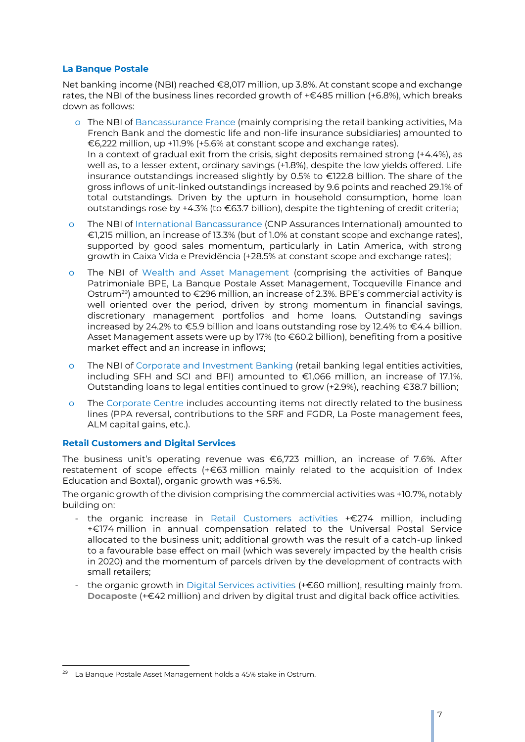### **La Banque Postale**

Net banking income (NBI) reached €8,017 million, up 3.8%. At constant scope and exchange rates, the NBI of the business lines recorded growth of +€485 million (+6.8%), which breaks down as follows:

- o The NBI of Bancassurance France (mainly comprising the retail banking activities, Ma French Bank and the domestic life and non-life insurance subsidiaries) amounted to €6,222 million, up +11.9% (+5.6% at constant scope and exchange rates). In a context of gradual exit from the crisis, sight deposits remained strong (+4.4%), as well as, to a lesser extent, ordinary savings (+1.8%), despite the low yields offered. Life insurance outstandings increased slightly by 0.5% to €122.8 billion. The share of the gross inflows of unit-linked outstandings increased by 9.6 points and reached 29.1% of total outstandings. Driven by the upturn in household consumption, home loan outstandings rose by +4.3% (to €63.7 billion), despite the tightening of credit criteria;
- o The NBI of International Bancassurance (CNP Assurances International) amounted to €1,215 million, an increase of 13.3% (but of 1.0% at constant scope and exchange rates), supported by good sales momentum, particularly in Latin America, with strong growth in Caixa Vida e Previdência (+28.5% at constant scope and exchange rates);
- o The NBI of Wealth and Asset Management (comprising the activities of Banque Patrimoniale BPE, La Banque Postale Asset Management, Tocqueville Finance and Ostrum<sup>29</sup>) amounted to  $\epsilon$ 296 million, an increase of 2.3%. BPE's commercial activity is well oriented over the period, driven by strong momentum in financial savings, discretionary management portfolios and home loans. Outstanding savings increased by 24.2% to €5.9 billion and loans outstanding rose by 12.4% to €4.4 billion. Asset Management assets were up by 17% (to €60.2 billion), benefiting from a positive market effect and an increase in inflows;
- The NBI of Corporate and Investment Banking (retail banking legal entities activities, including SFH and SCI and BFI) amounted to €1,066 million, an increase of 17.1%. Outstanding loans to legal entities continued to grow (+2.9%), reaching €38.7 billion;
- o The Corporate Centre includes accounting items not directly related to the business lines (PPA reversal, contributions to the SRF and FGDR, La Poste management fees, ALM capital gains, etc.).

#### **Retail Customers and Digital Services**

The business unit's operating revenue was  $\epsilon$ 6,723 million, an increase of 7.6%. After restatement of scope effects (+€63 million mainly related to the acquisition of Index Education and Boxtal), organic growth was +6.5%.

The organic growth of the division comprising the commercial activities was +10.7%, notably building on:

- the organic increase in Retail Customers activities +€274 million, including +€174 million in annual compensation related to the Universal Postal Service allocated to the business unit; additional growth was the result of a catch-up linked to a favourable base effect on mail (which was severely impacted by the health crisis in 2020) and the momentum of parcels driven by the development of contracts with small retailers;
- the organic growth in Digital Services activities (+€60 million), resulting mainly from. **Docaposte** (+€42 million) and driven by digital trust and digital back office activities.

j <sup>29</sup> La Banque Postale Asset Management holds a 45% stake in Ostrum.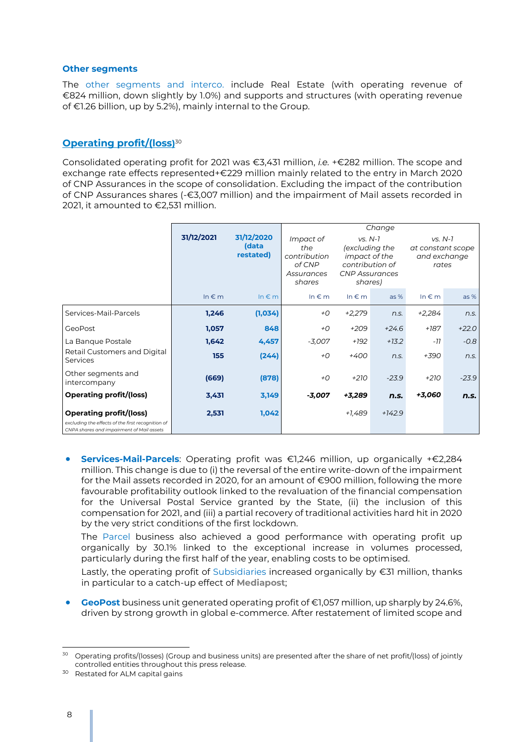#### **Other segments**

The other segments and interco. include Real Estate (with operating revenue of €824 million, down slightly by 1.0%) and supports and structures (with operating revenue of €1.26 billion, up by 5.2%), mainly internal to the Group.

### **Operating profit/(loss)** 30

Consolidated operating profit for 2021 was €3,431 million, *i.e.* +€282 million. The scope and exchange rate effects represented+€229 million mainly related to the entry in March 2020 of CNP Assurances in the scope of consolidation. Excluding the impact of the contribution of CNP Assurances shares (-€3,007 million) and the impairment of Mail assets recorded in 2021, it amounted to €2,531 million.

|                                                                                                                                  |            |                                  |                                                                    | Change     |                                                                                                            |               |                                                         |  |
|----------------------------------------------------------------------------------------------------------------------------------|------------|----------------------------------|--------------------------------------------------------------------|------------|------------------------------------------------------------------------------------------------------------|---------------|---------------------------------------------------------|--|
|                                                                                                                                  | 31/12/2021 | 31/12/2020<br>(data<br>restated) | Impact of<br>the<br>contribution<br>of CNP<br>Assurances<br>shares |            | $VS. N-7$<br>(excluding the<br><i>impact</i> of the<br>contribution of<br><b>CNP Assurances</b><br>shares) |               | $VS. N-7$<br>at constant scope<br>and exchange<br>rates |  |
|                                                                                                                                  | $ln \in m$ | $ln \in m$                       | In $\notin$ m                                                      | $ln \in m$ | $as\%$                                                                                                     | In $\notin$ m | $as\%$                                                  |  |
| Services-Mail-Parcels                                                                                                            | 1,246      | (1,034)                          | +О                                                                 | $+2,279$   | n.s.                                                                                                       | $+2,284$      | n.S.                                                    |  |
| <b>GeoPost</b>                                                                                                                   | 1,057      | 848                              | $+O$                                                               | $+209$     | $+24.6$                                                                                                    | $+187$        | $+22.0$                                                 |  |
| La Banque Postale                                                                                                                | 1,642      | 4,457                            | $-3,007$                                                           | +192       | $+13.2$                                                                                                    | -77           | $-0.8$                                                  |  |
| Retail Customers and Digital<br>Services                                                                                         | 155        | (244)                            | $+O$                                                               | $+400$     | n.S.                                                                                                       | +390          | n.S.                                                    |  |
| Other segments and<br>intercompany                                                                                               | (669)      | (878)                            | $+O$                                                               | $+210$     | $-23.9$                                                                                                    | $+210$        | $-23.9$                                                 |  |
| <b>Operating profit/(loss)</b>                                                                                                   | 3,431      | 3,149                            | -3,007                                                             | +3,289     | n.s.                                                                                                       | +3,060        | n.s.                                                    |  |
| <b>Operating profit/(loss)</b><br>excluding the effects of the first recognition of<br>CNPA shares and impairment of Mail assets | 2,531      | 1,042                            |                                                                    | +1,489     | $+142.9$                                                                                                   |               |                                                         |  |

 **Services-Mail-Parcels**: Operating profit was €1,246 million, up organically +€2,284 million. This change is due to (i) the reversal of the entire write-down of the impairment for the Mail assets recorded in 2020, for an amount of €900 million, following the more favourable profitability outlook linked to the revaluation of the financial compensation for the Universal Postal Service granted by the State, (ii) the inclusion of this compensation for 2021, and (iii) a partial recovery of traditional activities hard hit in 2020 by the very strict conditions of the first lockdown.

The Parcel business also achieved a good performance with operating profit up organically by 30.1% linked to the exceptional increase in volumes processed, particularly during the first half of the year, enabling costs to be optimised.

Lastly, the operating profit of Subsidiaries increased organically by €31 million, thanks in particular to a catch-up effect of **Mediapost**;

 **GeoPost** business unit generated operating profit of €1,057 million, up sharply by 24.6%, driven by strong growth in global e-commerce. After restatement of limited scope and

<sup>&</sup>lt;sup>30</sup> Operating profits/(losses) (Group and business units) are presented after the share of net profit/(loss) of jointly controlled entities throughout this press release.

<sup>30</sup> Restated for ALM capital gains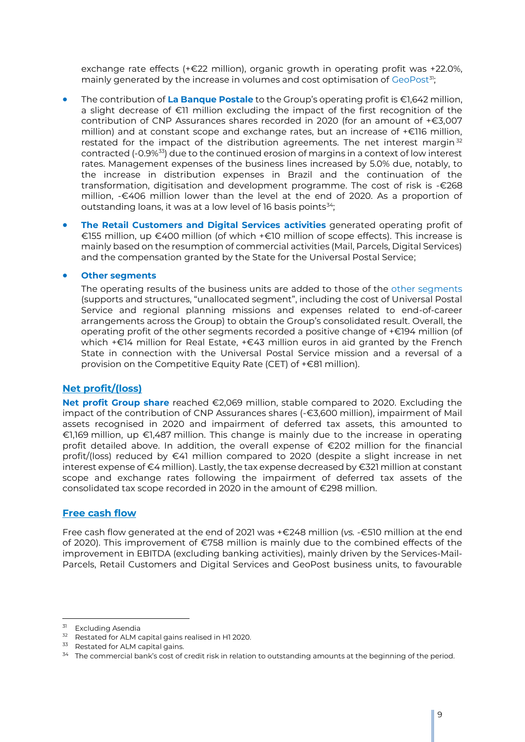exchange rate effects (+€22 million), organic growth in operating profit was +22.0%, mainly generated by the increase in volumes and cost optimisation of GeoPost<sup>31</sup>;

- The contribution of **La Banque Postale** to the Group's operating profit is €1,642 million, a slight decrease of €11 million excluding the impact of the first recognition of the contribution of CNP Assurances shares recorded in 2020 (for an amount of +€3,007 million) and at constant scope and exchange rates, but an increase of +€116 million, restated for the impact of the distribution agreements. The net interest margin  $32$ contracted (-0.9%<sup>33</sup>) due to the continued erosion of margins in a context of low interest rates. Management expenses of the business lines increased by 5.0% due, notably, to the increase in distribution expenses in Brazil and the continuation of the transformation, digitisation and development programme. The cost of risk is -€268 million, -€406 million lower than the level at the end of 2020. As a proportion of outstanding loans, it was at a low level of 16 basis points<sup>34</sup>;
- **The Retail Customers and Digital Services activities** generated operating profit of €155 million, up €400 million (of which +€10 million of scope effects). This increase is mainly based on the resumption of commercial activities (Mail, Parcels, Digital Services) and the compensation granted by the State for the Universal Postal Service;

**Other segments**

The operating results of the business units are added to those of the other segments (supports and structures, "unallocated segment", including the cost of Universal Postal Service and regional planning missions and expenses related to end-of-career arrangements across the Group) to obtain the Group's consolidated result. Overall, the operating profit of the other segments recorded a positive change of +€194 million (of which +€14 million for Real Estate, +€43 million euros in aid granted by the French State in connection with the Universal Postal Service mission and a reversal of a provision on the Competitive Equity Rate (CET) of +€81 million).

#### **Net profit/(loss)**

**Net profit Group share** reached €2,069 million, stable compared to 2020. Excluding the impact of the contribution of CNP Assurances shares (-€3,600 million), impairment of Mail assets recognised in 2020 and impairment of deferred tax assets, this amounted to €1,169 million, up €1,487 million. This change is mainly due to the increase in operating profit detailed above. In addition, the overall expense of €202 million for the financial profit/(loss) reduced by €41 million compared to 2020 (despite a slight increase in net interest expense of €4 million). Lastly, the tax expense decreased by €321 million at constant scope and exchange rates following the impairment of deferred tax assets of the consolidated tax scope recorded in 2020 in the amount of €298 million.

### **Free cash flow**

Free cash flow generated at the end of 2021 was +€248 million (*vs.* -€510 million at the end of 2020). This improvement of €758 million is mainly due to the combined effects of the improvement in EBITDA (excluding banking activities), mainly driven by the Services-Mail-Parcels, Retail Customers and Digital Services and GeoPost business units, to favourable

<sup>&</sup>lt;sup>31</sup> Excluding Asendia

<sup>32</sup> Restated for ALM capital gains realised in H1 2020.

<sup>&</sup>lt;sup>33</sup> Restated for ALM capital gains.

<sup>&</sup>lt;sup>34</sup> The commercial bank's cost of credit risk in relation to outstanding amounts at the beginning of the period.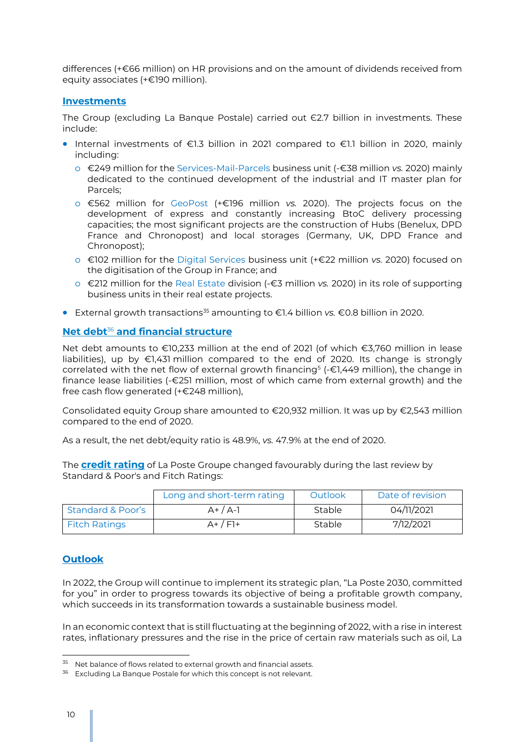differences (+€66 million) on HR provisions and on the amount of dividends received from equity associates (+€190 million).

### **Investments**

The Group (excluding La Banque Postale) carried out  $E$ 2.7 billion in investments. These include:

- Internal investments of €1.3 billion in 2021 compared to €1.1 billion in 2020, mainly including:
	- o €249 million for the Services-Mail-Parcels business unit (-€38 million *vs.* 2020) mainly dedicated to the continued development of the industrial and IT master plan for Parcels;
	- o €562 million for GeoPost (+€196 million *vs.* 2020). The projects focus on the development of express and constantly increasing BtoC delivery processing capacities; the most significant projects are the construction of Hubs (Benelux, DPD France and Chronopost) and local storages (Germany, UK, DPD France and Chronopost);
	- o €102 million for the Digital Services business unit (+€22 million *vs.* 2020) focused on the digitisation of the Group in France; and
	- o €212 million for the Real Estate division (-€3 million *vs.* 2020) in its role of supporting business units in their real estate projects.
- External growth transactions<sup>35</sup> amounting to €1.4 billion *vs.* €0.8 billion in 2020.

### **Net debt**<sup>36</sup> **and financial structure**

Net debt amounts to €10,233 million at the end of 2021 (of which €3,760 million in lease liabilities), up by €1,431 million compared to the end of 2020. Its change is strongly correlated with the net flow of external growth financing<sup>5</sup> (-€1,449 million), the change in finance lease liabilities (-€251 million, most of which came from external growth) and the free cash flow generated (+€248 million),

Consolidated equity Group share amounted to €20,932 million. It was up by €2,543 million compared to the end of 2020.

As a result, the net debt/equity ratio is 48.9%, *vs.* 47.9% at the end of 2020.

The **credit rating** of La Poste Groupe changed favourably during the last review by Standard & Poor's and Fitch Ratings:

|                              | Long and short-term rating | Outlook       | Date of revision |
|------------------------------|----------------------------|---------------|------------------|
| <b>Standard &amp; Poor's</b> | $A+ / A-1$                 | <b>Stable</b> | 04/11/2021       |
| <b>Fitch Ratings</b>         | $A+$ / $F$ ]+              | Stable        | 7/12/2021        |

### **Outlook**

In 2022, the Group will continue to implement its strategic plan, "La Poste 2030, committed for you" in order to progress towards its objective of being a profitable growth company, which succeeds in its transformation towards a sustainable business model.

In an economic context that is still fluctuating at the beginning of 2022, with a rise in interest rates, inflationary pressures and the rise in the price of certain raw materials such as oil, La

j <sup>35</sup> Net balance of flows related to external growth and financial assets.

<sup>&</sup>lt;sup>36</sup> Excluding La Banque Postale for which this concept is not relevant.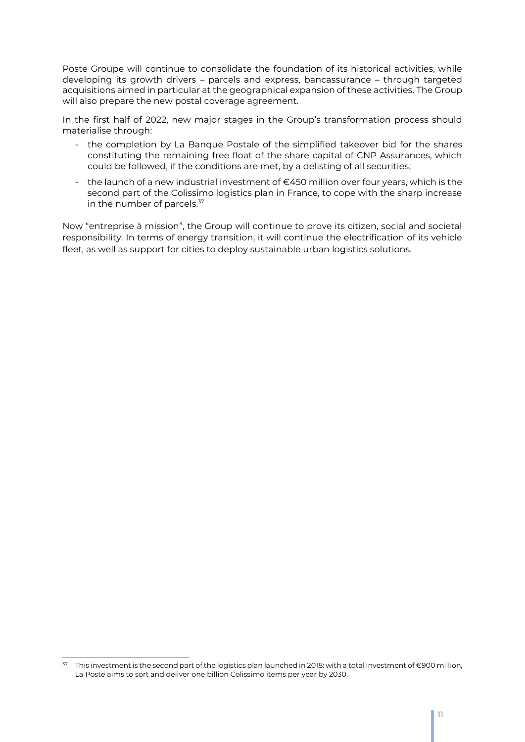Poste Groupe will continue to consolidate the foundation of its historical activities, while developing its growth drivers – parcels and express, bancassurance – through targeted acquisitions aimed in particular at the geographical expansion of these activities. The Group will also prepare the new postal coverage agreement.

In the first half of 2022, new major stages in the Group's transformation process should materialise through:

- the completion by La Banque Postale of the simplified takeover bid for the shares constituting the remaining free float of the share capital of CNP Assurances, which could be followed, if the conditions are met, by a delisting of all securities;
- the launch of a new industrial investment of €450 million over four years, which is the second part of the Colissimo logistics plan in France, to cope with the sharp increase in the number of parcels.<sup>37</sup>

Now "entreprise à mission", the Group will continue to prove its citizen, social and societal responsibility. In terms of energy transition, it will continue the electrification of its vehicle fleet, as well as support for cities to deploy sustainable urban logistics solutions.

j  $^{37}$  This investment is the second part of the logistics plan launched in 2018: with a total investment of €900 million, La Poste aims to sort and deliver one billion Colissimo items per year by 2030.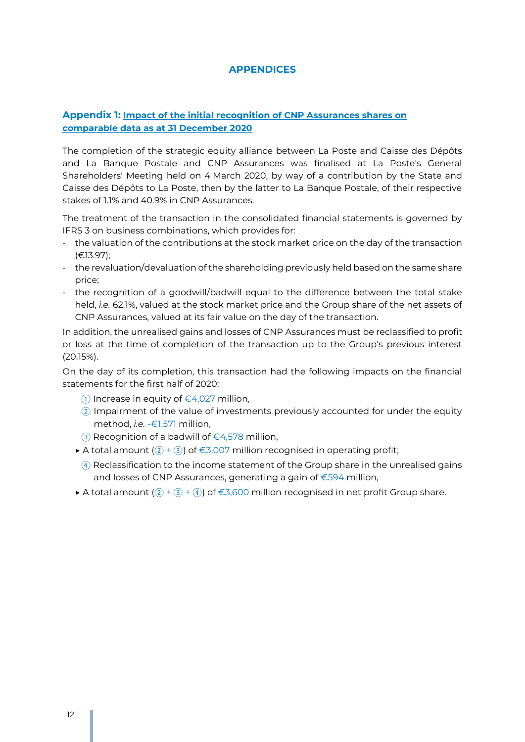### **APPENDICES**

### **Appendix 1: Impact of the initial recognition of CNP Assurances shares on comparable data as at 31 December 2020**

The completion of the strategic equity alliance between La Poste and Caisse des Dépôts and La Banque Postale and CNP Assurances was finalised at La Poste's General Shareholders' Meeting held on 4 March 2020, by way of a contribution by the State and Caisse des Dépôts to La Poste, then by the latter to La Banque Postale, of their respective stakes of 1.1% and 40.9% in CNP Assurances.

The treatment of the transaction in the consolidated financial statements is governed by IFRS 3 on business combinations, which provides for:

- the valuation of the contributions at the stock market price on the day of the transaction (€13.97);
- the revaluation/devaluation of the shareholding previously held based on the same share price;
- the recognition of a goodwill/badwill equal to the difference between the total stake held, *i.e.* 62.1%, valued at the stock market price and the Group share of the net assets of CNP Assurances, valued at its fair value on the day of the transaction.

In addition, the unrealised gains and losses of CNP Assurances must be reclassified to profit or loss at the time of completion of the transaction up to the Group's previous interest (20.15%).

On the day of its completion, this transaction had the following impacts on the financial statements for the first half of 2020:

- ① Increase in equity of €4,027 million,
- ② Impairment of the value of investments previously accounted for under the equity method, *i.e.* -€1,571 million,
- ③ Recognition of a badwill of €4,578 million,
- ▶ A total amount  $(2) + 3$ ) of €3,007 million recognised in operating profit;
- ④ Reclassification to the income statement of the Group share in the unrealised gains and losses of CNP Assurances, generating a gain of €594 million,
- ▶ A total amount  $(2) + (3) + (4)$  of €3,600 million recognised in net profit Group share.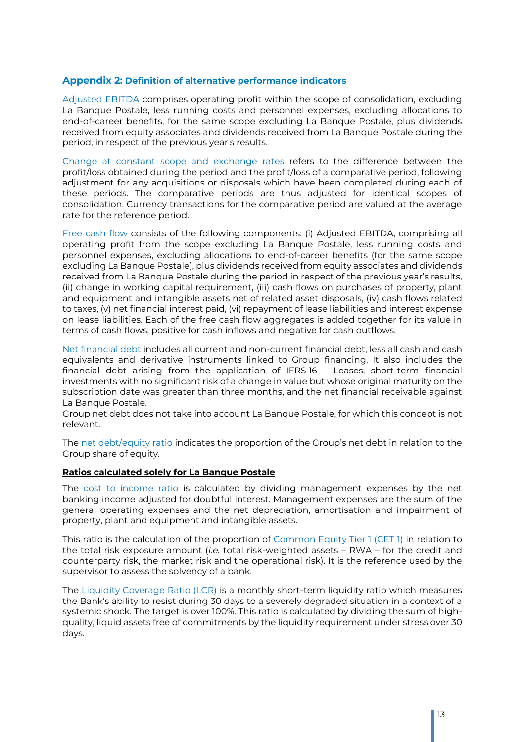### **Appendix 2: Definition of alternative performance indicators**

Adjusted EBITDA comprises operating profit within the scope of consolidation, excluding La Banque Postale, less running costs and personnel expenses, excluding allocations to end-of-career benefits, for the same scope excluding La Banque Postale, plus dividends received from equity associates and dividends received from La Banque Postale during the period, in respect of the previous year's results.

Change at constant scope and exchange rates refers to the difference between the profit/loss obtained during the period and the profit/loss of a comparative period, following adjustment for any acquisitions or disposals which have been completed during each of these periods. The comparative periods are thus adjusted for identical scopes of consolidation. Currency transactions for the comparative period are valued at the average rate for the reference period.

Free cash flow consists of the following components: (i) Adjusted EBITDA, comprising all operating profit from the scope excluding La Banque Postale, less running costs and personnel expenses, excluding allocations to end-of-career benefits (for the same scope excluding La Banque Postale), plus dividends received from equity associates and dividends received from La Banque Postale during the period in respect of the previous year's results, (ii) change in working capital requirement, (iii) cash flows on purchases of property, plant and equipment and intangible assets net of related asset disposals, (iv) cash flows related to taxes, (v) net financial interest paid, (vi) repayment of lease liabilities and interest expense on lease liabilities. Each of the free cash flow aggregates is added together for its value in terms of cash flows; positive for cash inflows and negative for cash outflows.

Net financial debt includes all current and non-current financial debt, less all cash and cash equivalents and derivative instruments linked to Group financing. It also includes the financial debt arising from the application of IFRS 16 – Leases, short-term financial investments with no significant risk of a change in value but whose original maturity on the subscription date was greater than three months, and the net financial receivable against La Banque Postale.

Group net debt does not take into account La Banque Postale, for which this concept is not relevant.

The net debt/equity ratio indicates the proportion of the Group's net debt in relation to the Group share of equity.

#### **Ratios calculated solely for La Banque Postale**

The cost to income ratio is calculated by dividing management expenses by the net banking income adjusted for doubtful interest. Management expenses are the sum of the general operating expenses and the net depreciation, amortisation and impairment of property, plant and equipment and intangible assets.

This ratio is the calculation of the proportion of Common Equity Tier 1 (CET 1) in relation to the total risk exposure amount (*i.e.* total risk-weighted assets – RWA – for the credit and counterparty risk, the market risk and the operational risk). It is the reference used by the supervisor to assess the solvency of a bank.

The Liquidity Coverage Ratio (LCR) is a monthly short-term liquidity ratio which measures the Bank's ability to resist during 30 days to a severely degraded situation in a context of a systemic shock. The target is over 100%. This ratio is calculated by dividing the sum of highquality, liquid assets free of commitments by the liquidity requirement under stress over 30 days.